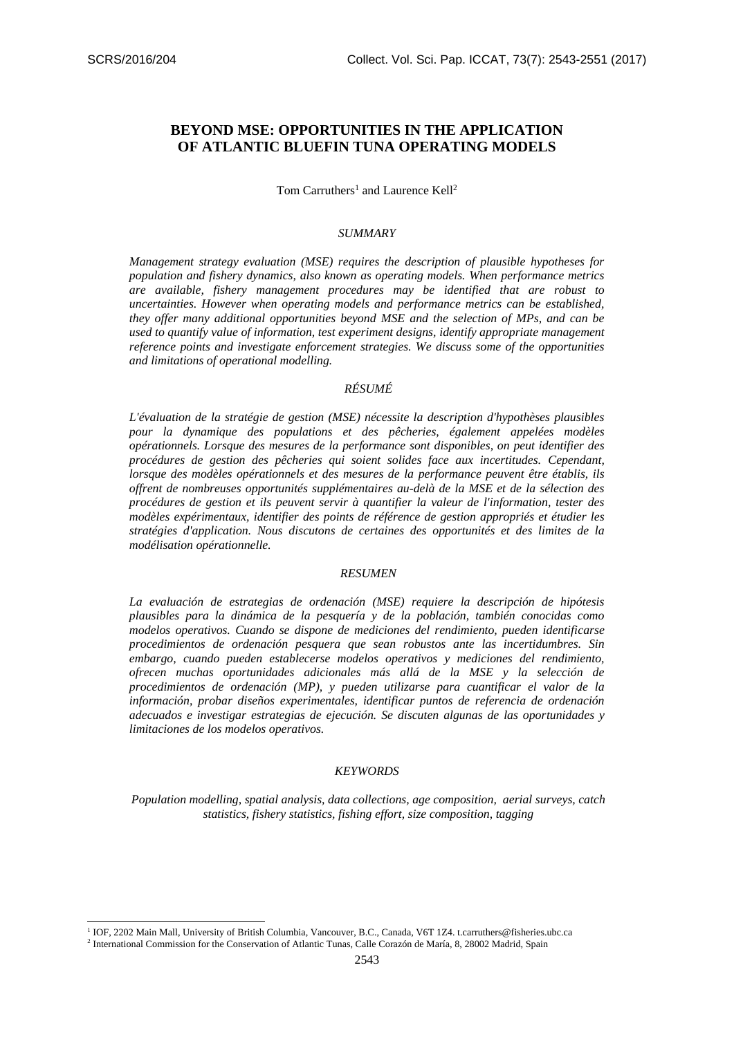1

# **BEYOND MSE: OPPORTUNITIES IN THE APPLICATION OF ATLANTIC BLUEFIN TUNA OPERATING MODELS**

Tom Carruthers<sup>1</sup> and Laurence Kell<sup>2</sup>

## *SUMMARY*

*Management strategy evaluation (MSE) requires the description of plausible hypotheses for population and fishery dynamics, also known as operating models. When performance metrics are available, fishery management procedures may be identified that are robust to uncertainties. However when operating models and performance metrics can be established, they offer many additional opportunities beyond MSE and the selection of MPs, and can be used to quantify value of information, test experiment designs, identify appropriate management reference points and investigate enforcement strategies. We discuss some of the opportunities and limitations of operational modelling.* 

# *RÉSUMÉ*

*L'évaluation de la stratégie de gestion (MSE) nécessite la description d'hypothèses plausibles pour la dynamique des populations et des pêcheries, également appelées modèles opérationnels. Lorsque des mesures de la performance sont disponibles, on peut identifier des procédures de gestion des pêcheries qui soient solides face aux incertitudes. Cependant, lorsque des modèles opérationnels et des mesures de la performance peuvent être établis, ils offrent de nombreuses opportunités supplémentaires au-delà de la MSE et de la sélection des procédures de gestion et ils peuvent servir à quantifier la valeur de l'information, tester des modèles expérimentaux, identifier des points de référence de gestion appropriés et étudier les stratégies d'application. Nous discutons de certaines des opportunités et des limites de la modélisation opérationnelle.*

#### *RESUMEN*

*La evaluación de estrategias de ordenación (MSE) requiere la descripción de hipótesis plausibles para la dinámica de la pesquería y de la población, también conocidas como modelos operativos. Cuando se dispone de mediciones del rendimiento, pueden identificarse procedimientos de ordenación pesquera que sean robustos ante las incertidumbres. Sin embargo, cuando pueden establecerse modelos operativos y mediciones del rendimiento, ofrecen muchas oportunidades adicionales más allá de la MSE y la selección de procedimientos de ordenación (MP), y pueden utilizarse para cuantificar el valor de la información, probar diseños experimentales, identificar puntos de referencia de ordenación adecuados e investigar estrategias de ejecución. Se discuten algunas de las oportunidades y limitaciones de los modelos operativos.*

#### *KEYWORDS*

*Population modelling, spatial analysis, data collections, age composition, aerial surveys, catch statistics, fishery statistics, fishing effort, size composition, tagging*

<sup>&</sup>lt;sup>1</sup> IOF, 2202 Main Mall, University of British Columbia, Vancouver, B.C., Canada, V6T 1Z4. t.carruthers@fisheries.ubc.ca

<sup>&</sup>lt;sup>2</sup> International Commission for the Conservation of Atlantic Tunas, Calle Corazón de María, 8, 28002 Madrid, Spain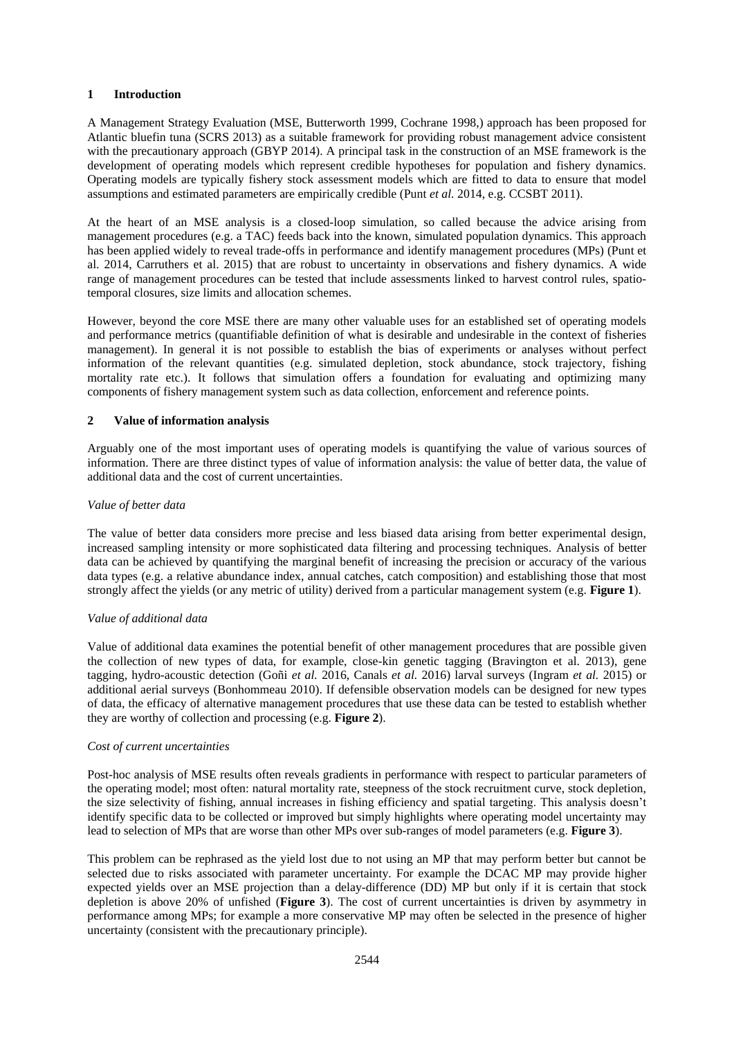# **1 Introduction**

A Management Strategy Evaluation (MSE, Butterworth 1999, Cochrane 1998,) approach has been proposed for Atlantic bluefin tuna (SCRS 2013) as a suitable framework for providing robust management advice consistent with the precautionary approach (GBYP 2014). A principal task in the construction of an MSE framework is the development of operating models which represent credible hypotheses for population and fishery dynamics. Operating models are typically fishery stock assessment models which are fitted to data to ensure that model assumptions and estimated parameters are empirically credible (Punt *et al.* 2014, e.g. CCSBT 2011).

At the heart of an MSE analysis is a closed-loop simulation, so called because the advice arising from management procedures (e.g. a TAC) feeds back into the known, simulated population dynamics. This approach has been applied widely to reveal trade-offs in performance and identify management procedures (MPs) (Punt et al. 2014, Carruthers et al. 2015) that are robust to uncertainty in observations and fishery dynamics. A wide range of management procedures can be tested that include assessments linked to harvest control rules, spatiotemporal closures, size limits and allocation schemes.

However, beyond the core MSE there are many other valuable uses for an established set of operating models and performance metrics (quantifiable definition of what is desirable and undesirable in the context of fisheries management). In general it is not possible to establish the bias of experiments or analyses without perfect information of the relevant quantities (e.g. simulated depletion, stock abundance, stock trajectory, fishing mortality rate etc.). It follows that simulation offers a foundation for evaluating and optimizing many components of fishery management system such as data collection, enforcement and reference points.

# **2 Value of information analysis**

Arguably one of the most important uses of operating models is quantifying the value of various sources of information. There are three distinct types of value of information analysis: the value of better data, the value of additional data and the cost of current uncertainties.

# *Value of better data*

The value of better data considers more precise and less biased data arising from better experimental design, increased sampling intensity or more sophisticated data filtering and processing techniques. Analysis of better data can be achieved by quantifying the marginal benefit of increasing the precision or accuracy of the various data types (e.g. a relative abundance index, annual catches, catch composition) and establishing those that most strongly affect the yields (or any metric of utility) derived from a particular management system (e.g. **Figure 1**).

#### *Value of additional data*

Value of additional data examines the potential benefit of other management procedures that are possible given the collection of new types of data, for example, close-kin genetic tagging (Bravington et al. 2013), gene tagging, hydro-acoustic detection (Goñi *et al.* 2016, Canals *et al.* 2016) larval surveys (Ingram *et al.* 2015) or additional aerial surveys (Bonhommeau 2010). If defensible observation models can be designed for new types of data, the efficacy of alternative management procedures that use these data can be tested to establish whether they are worthy of collection and processing (e.g. **Figure 2**).

#### *Cost of current uncertainties*

Post-hoc analysis of MSE results often reveals gradients in performance with respect to particular parameters of the operating model; most often: natural mortality rate, steepness of the stock recruitment curve, stock depletion, the size selectivity of fishing, annual increases in fishing efficiency and spatial targeting. This analysis doesn't identify specific data to be collected or improved but simply highlights where operating model uncertainty may lead to selection of MPs that are worse than other MPs over sub-ranges of model parameters (e.g. **Figure 3**).

This problem can be rephrased as the yield lost due to not using an MP that may perform better but cannot be selected due to risks associated with parameter uncertainty. For example the DCAC MP may provide higher expected yields over an MSE projection than a delay-difference (DD) MP but only if it is certain that stock depletion is above 20% of unfished (**Figure 3**). The cost of current uncertainties is driven by asymmetry in performance among MPs; for example a more conservative MP may often be selected in the presence of higher uncertainty (consistent with the precautionary principle).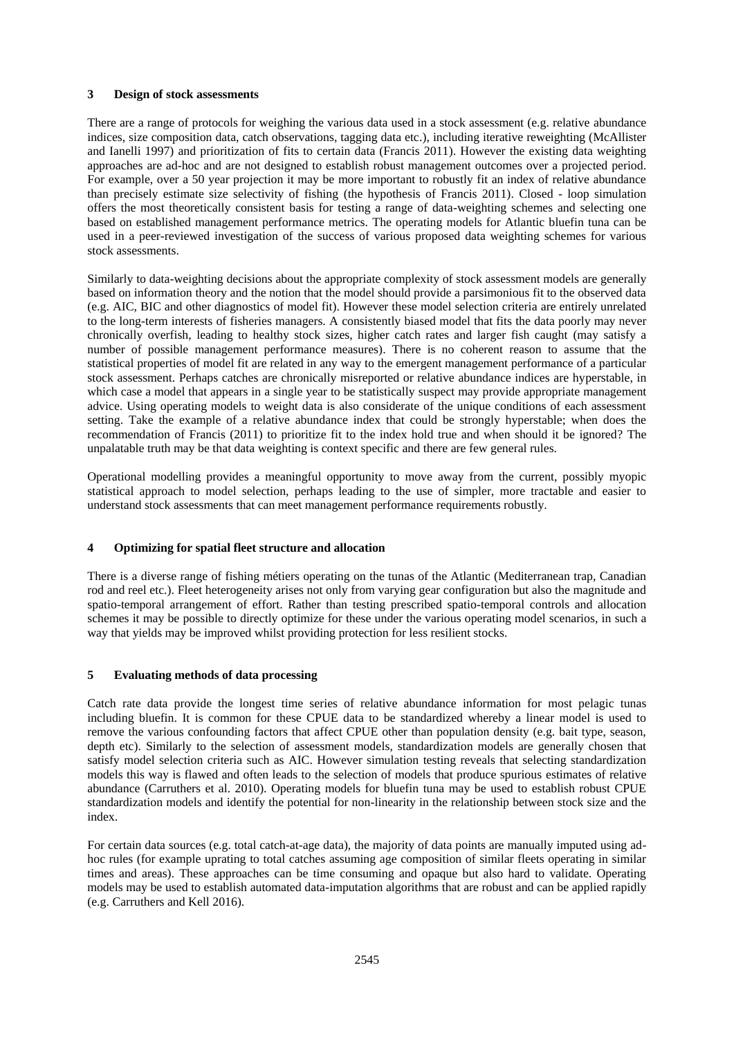## **3 Design of stock assessments**

There are a range of protocols for weighing the various data used in a stock assessment (e.g. relative abundance indices, size composition data, catch observations, tagging data etc.), including iterative reweighting (McAllister and Ianelli 1997) and prioritization of fits to certain data (Francis 2011). However the existing data weighting approaches are ad-hoc and are not designed to establish robust management outcomes over a projected period. For example, over a 50 year projection it may be more important to robustly fit an index of relative abundance than precisely estimate size selectivity of fishing (the hypothesis of Francis 2011). Closed - loop simulation offers the most theoretically consistent basis for testing a range of data-weighting schemes and selecting one based on established management performance metrics. The operating models for Atlantic bluefin tuna can be used in a peer-reviewed investigation of the success of various proposed data weighting schemes for various stock assessments.

Similarly to data-weighting decisions about the appropriate complexity of stock assessment models are generally based on information theory and the notion that the model should provide a parsimonious fit to the observed data (e.g. AIC, BIC and other diagnostics of model fit). However these model selection criteria are entirely unrelated to the long-term interests of fisheries managers. A consistently biased model that fits the data poorly may never chronically overfish, leading to healthy stock sizes, higher catch rates and larger fish caught (may satisfy a number of possible management performance measures). There is no coherent reason to assume that the statistical properties of model fit are related in any way to the emergent management performance of a particular stock assessment. Perhaps catches are chronically misreported or relative abundance indices are hyperstable, in which case a model that appears in a single year to be statistically suspect may provide appropriate management advice. Using operating models to weight data is also considerate of the unique conditions of each assessment setting. Take the example of a relative abundance index that could be strongly hyperstable; when does the recommendation of Francis (2011) to prioritize fit to the index hold true and when should it be ignored? The unpalatable truth may be that data weighting is context specific and there are few general rules.

Operational modelling provides a meaningful opportunity to move away from the current, possibly myopic statistical approach to model selection, perhaps leading to the use of simpler, more tractable and easier to understand stock assessments that can meet management performance requirements robustly.

# **4 Optimizing for spatial fleet structure and allocation**

There is a diverse range of fishing métiers operating on the tunas of the Atlantic (Mediterranean trap, Canadian rod and reel etc.). Fleet heterogeneity arises not only from varying gear configuration but also the magnitude and spatio-temporal arrangement of effort. Rather than testing prescribed spatio-temporal controls and allocation schemes it may be possible to directly optimize for these under the various operating model scenarios, in such a way that yields may be improved whilst providing protection for less resilient stocks.

# **5 Evaluating methods of data processing**

Catch rate data provide the longest time series of relative abundance information for most pelagic tunas including bluefin. It is common for these CPUE data to be standardized whereby a linear model is used to remove the various confounding factors that affect CPUE other than population density (e.g. bait type, season, depth etc). Similarly to the selection of assessment models, standardization models are generally chosen that satisfy model selection criteria such as AIC. However simulation testing reveals that selecting standardization models this way is flawed and often leads to the selection of models that produce spurious estimates of relative abundance (Carruthers et al. 2010). Operating models for bluefin tuna may be used to establish robust CPUE standardization models and identify the potential for non-linearity in the relationship between stock size and the index.

For certain data sources (e.g. total catch-at-age data), the majority of data points are manually imputed using adhoc rules (for example uprating to total catches assuming age composition of similar fleets operating in similar times and areas). These approaches can be time consuming and opaque but also hard to validate. Operating models may be used to establish automated data-imputation algorithms that are robust and can be applied rapidly (e.g. Carruthers and Kell 2016).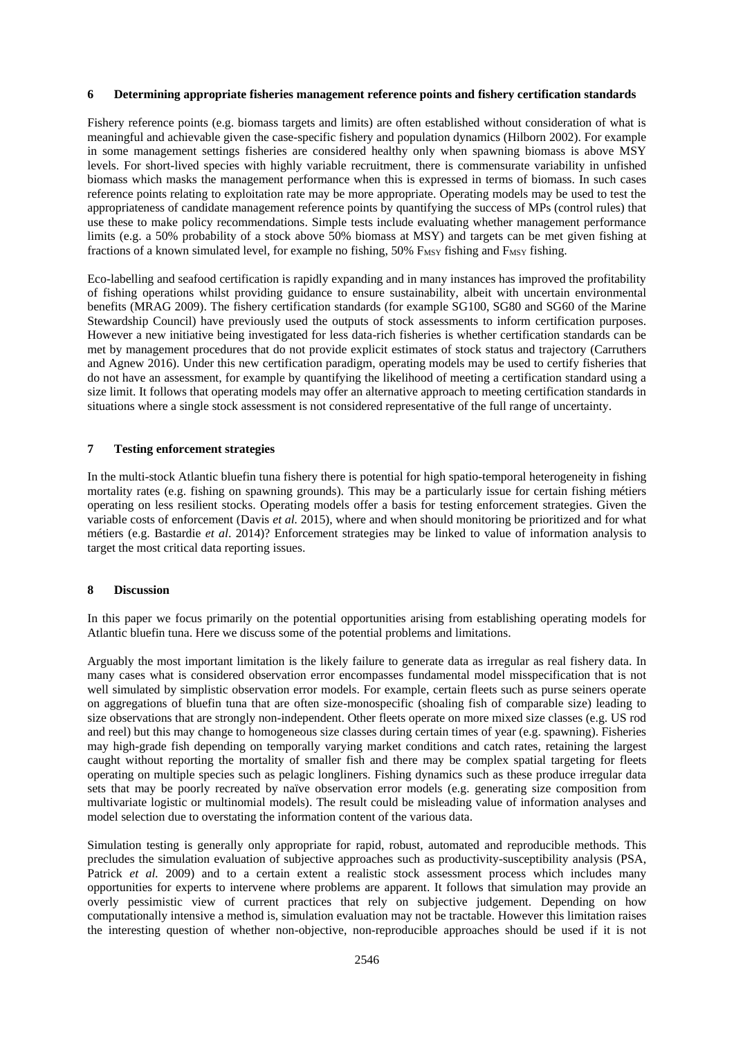# **6 Determining appropriate fisheries management reference points and fishery certification standards**

Fishery reference points (e.g. biomass targets and limits) are often established without consideration of what is meaningful and achievable given the case-specific fishery and population dynamics (Hilborn 2002). For example in some management settings fisheries are considered healthy only when spawning biomass is above MSY levels. For short-lived species with highly variable recruitment, there is commensurate variability in unfished biomass which masks the management performance when this is expressed in terms of biomass. In such cases reference points relating to exploitation rate may be more appropriate. Operating models may be used to test the appropriateness of candidate management reference points by quantifying the success of MPs (control rules) that use these to make policy recommendations. Simple tests include evaluating whether management performance limits (e.g. a 50% probability of a stock above 50% biomass at MSY) and targets can be met given fishing at fractions of a known simulated level, for example no fishing,  $50\%$  F<sub>MSY</sub> fishing and F<sub>MSY</sub> fishing.

Eco-labelling and seafood certification is rapidly expanding and in many instances has improved the profitability of fishing operations whilst providing guidance to ensure sustainability, albeit with uncertain environmental benefits (MRAG 2009). The fishery certification standards (for example SG100, SG80 and SG60 of the Marine Stewardship Council) have previously used the outputs of stock assessments to inform certification purposes. However a new initiative being investigated for less data-rich fisheries is whether certification standards can be met by management procedures that do not provide explicit estimates of stock status and trajectory (Carruthers and Agnew 2016). Under this new certification paradigm, operating models may be used to certify fisheries that do not have an assessment, for example by quantifying the likelihood of meeting a certification standard using a size limit. It follows that operating models may offer an alternative approach to meeting certification standards in situations where a single stock assessment is not considered representative of the full range of uncertainty.

#### **7 Testing enforcement strategies**

In the multi-stock Atlantic bluefin tuna fishery there is potential for high spatio-temporal heterogeneity in fishing mortality rates (e.g. fishing on spawning grounds). This may be a particularly issue for certain fishing métiers operating on less resilient stocks. Operating models offer a basis for testing enforcement strategies. Given the variable costs of enforcement (Davis *et al.* 2015), where and when should monitoring be prioritized and for what métiers (e.g. Bastardie *et al*. 2014)? Enforcement strategies may be linked to value of information analysis to target the most critical data reporting issues.

#### **8 Discussion**

In this paper we focus primarily on the potential opportunities arising from establishing operating models for Atlantic bluefin tuna. Here we discuss some of the potential problems and limitations.

Arguably the most important limitation is the likely failure to generate data as irregular as real fishery data. In many cases what is considered observation error encompasses fundamental model misspecification that is not well simulated by simplistic observation error models. For example, certain fleets such as purse seiners operate on aggregations of bluefin tuna that are often size-monospecific (shoaling fish of comparable size) leading to size observations that are strongly non-independent. Other fleets operate on more mixed size classes (e.g. US rod and reel) but this may change to homogeneous size classes during certain times of year (e.g. spawning). Fisheries may high-grade fish depending on temporally varying market conditions and catch rates, retaining the largest caught without reporting the mortality of smaller fish and there may be complex spatial targeting for fleets operating on multiple species such as pelagic longliners. Fishing dynamics such as these produce irregular data sets that may be poorly recreated by naïve observation error models (e.g. generating size composition from multivariate logistic or multinomial models). The result could be misleading value of information analyses and model selection due to overstating the information content of the various data.

Simulation testing is generally only appropriate for rapid, robust, automated and reproducible methods. This precludes the simulation evaluation of subjective approaches such as productivity-susceptibility analysis (PSA, Patrick *et al.* 2009) and to a certain extent a realistic stock assessment process which includes many opportunities for experts to intervene where problems are apparent. It follows that simulation may provide an overly pessimistic view of current practices that rely on subjective judgement. Depending on how computationally intensive a method is, simulation evaluation may not be tractable. However this limitation raises the interesting question of whether non-objective, non-reproducible approaches should be used if it is not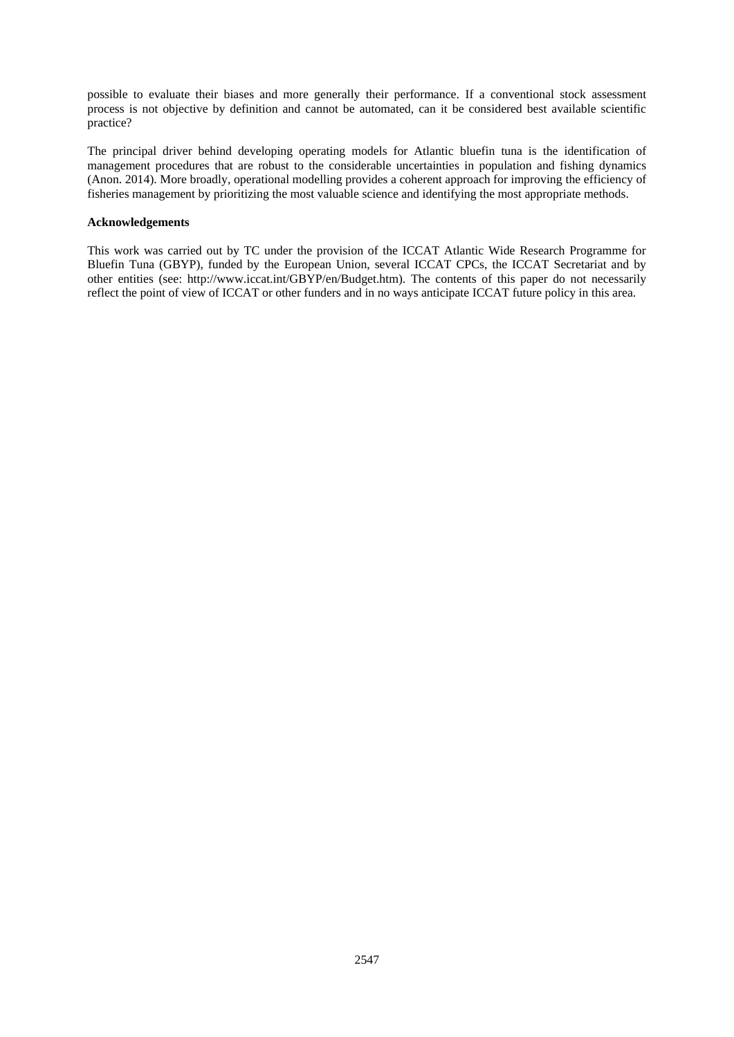possible to evaluate their biases and more generally their performance. If a conventional stock assessment process is not objective by definition and cannot be automated, can it be considered best available scientific practice?

The principal driver behind developing operating models for Atlantic bluefin tuna is the identification of management procedures that are robust to the considerable uncertainties in population and fishing dynamics (Anon. 2014). More broadly, operational modelling provides a coherent approach for improving the efficiency of fisheries management by prioritizing the most valuable science and identifying the most appropriate methods.

## **Acknowledgements**

This work was carried out by TC under the provision of the ICCAT Atlantic Wide Research Programme for Bluefin Tuna (GBYP), funded by the European Union, several ICCAT CPCs, the ICCAT Secretariat and by other entities (see: http://www.iccat.int/GBYP/en/Budget.htm). The contents of this paper do not necessarily reflect the point of view of ICCAT or other funders and in no ways anticipate ICCAT future policy in this area.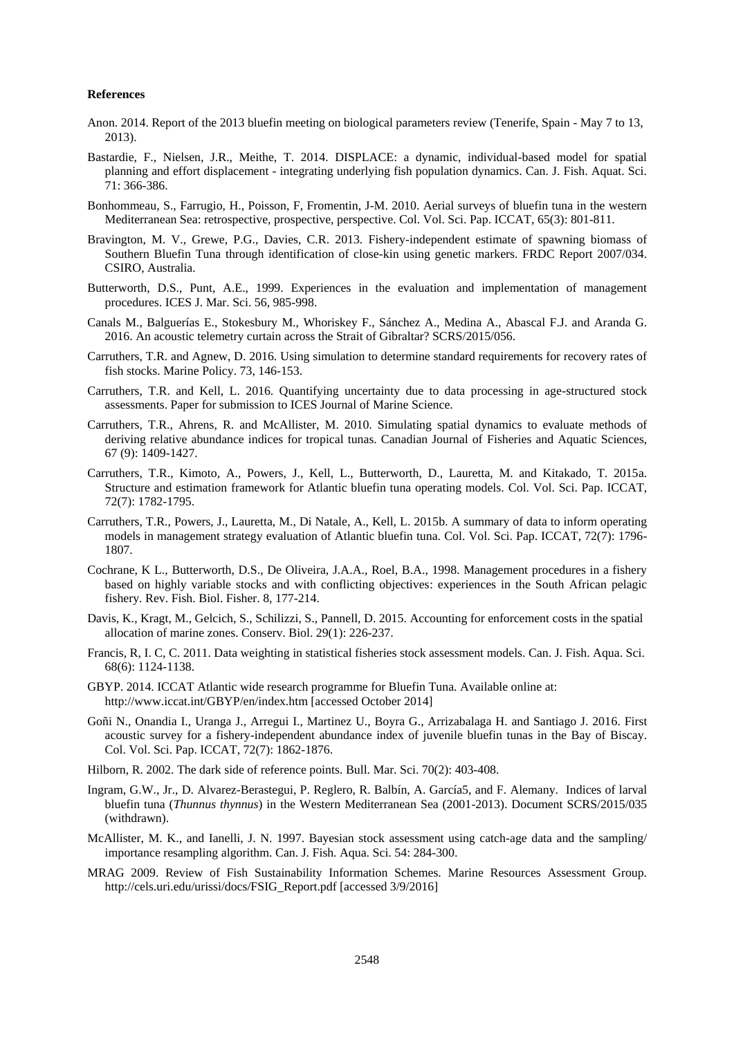#### **References**

- Anon. 2014. Report of the 2013 bluefin meeting on biological parameters review (Tenerife, Spain May 7 to 13, 2013).
- Bastardie, F., Nielsen, J.R., Meithe, T. 2014. DISPLACE: a dynamic, individual-based model for spatial planning and effort displacement - integrating underlying fish population dynamics. Can. J. Fish. Aquat. Sci. 71: 366-386.
- Bonhommeau, S., Farrugio, H., Poisson, F, Fromentin, J-M. 2010. Aerial surveys of bluefin tuna in the western Mediterranean Sea: retrospective, prospective, perspective. Col. Vol. Sci. Pap. ICCAT, 65(3): 801-811.
- Bravington, M. V., Grewe, P.G., Davies, C.R. 2013. Fishery-independent estimate of spawning biomass of Southern Bluefin Tuna through identification of close-kin using genetic markers. FRDC Report 2007/034. CSIRO, Australia.
- Butterworth, D.S., Punt, A.E., 1999. Experiences in the evaluation and implementation of management procedures. ICES J. Mar. Sci. 56, 985-998.
- Canals M., Balguerías E., Stokesbury M., Whoriskey F., Sánchez A., Medina A., Abascal F.J. and Aranda G. 2016. An acoustic telemetry curtain across the Strait of Gibraltar? SCRS/2015/056.
- Carruthers, T.R. and Agnew, D. 2016. Using simulation to determine standard requirements for recovery rates of fish stocks. Marine Policy. 73, 146-153.
- Carruthers, T.R. and Kell, L. 2016. Quantifying uncertainty due to data processing in age-structured stock assessments. Paper for submission to ICES Journal of Marine Science.
- Carruthers, T.R., Ahrens, R. and McAllister, M. 2010. Simulating spatial dynamics to evaluate methods of deriving relative abundance indices for tropical tunas. Canadian Journal of Fisheries and Aquatic Sciences, 67 (9): 1409-1427.
- Carruthers, T.R., Kimoto, A., Powers, J., Kell, L., Butterworth, D., Lauretta, M. and Kitakado, T. 2015a. Structure and estimation framework for Atlantic bluefin tuna operating models. Col. Vol. Sci. Pap. ICCAT, 72(7): 1782-1795.
- Carruthers, T.R., Powers, J., Lauretta, M., Di Natale, A., Kell, L. 2015b. A summary of data to inform operating models in management strategy evaluation of Atlantic bluefin tuna. Col. Vol. Sci. Pap. ICCAT, 72(7): 1796- 1807.
- Cochrane, K L., Butterworth, D.S., De Oliveira, J.A.A., Roel, B.A., 1998. Management procedures in a fishery based on highly variable stocks and with conflicting objectives: experiences in the South African pelagic fishery. Rev. Fish. Biol. Fisher. 8, 177-214.
- Davis, K., Kragt, M., Gelcich, S., Schilizzi, S., Pannell, D. 2015. Accounting for enforcement costs in the spatial allocation of marine zones. Conserv. Biol. 29(1): 226-237.
- Francis, R, I. C, C. 2011. Data weighting in statistical fisheries stock assessment models. Can. J. Fish. Aqua. Sci. 68(6): 1124-1138.
- GBYP. 2014. ICCAT Atlantic wide research programme for Bluefin Tuna. Available online at: http://www.iccat.int/GBYP/en/index.htm [accessed October 2014]
- Goñi N., Onandia I., Uranga J., Arregui I., Martinez U., Boyra G., Arrizabalaga H. and Santiago J. 2016. First acoustic survey for a fishery-independent abundance index of juvenile bluefin tunas in the Bay of Biscay. Col. Vol. Sci. Pap. ICCAT, 72(7): 1862-1876.
- Hilborn, R. 2002. The dark side of reference points. Bull. Mar. Sci. 70(2): 403-408.
- Ingram, G.W., Jr., D. Alvarez-Berastegui, P. Reglero, R. Balbín, A. García5, and F. Alemany. Indices of larval bluefin tuna (*Thunnus thynnus*) in the Western Mediterranean Sea (2001-2013). Document SCRS/2015/035 (withdrawn).
- McAllister, M. K., and Ianelli, J. N. 1997. Bayesian stock assessment using catch-age data and the sampling/ importance resampling algorithm. Can. J. Fish. Aqua. Sci. 54: 284-300.
- MRAG 2009. Review of Fish Sustainability Information Schemes. Marine Resources Assessment Group. [http://cels.uri.edu/urissi/docs/FSIG\\_Report.pdf](http://cels.uri.edu/urissi/docs/FSIG_Report.pdf) [accessed 3/9/2016]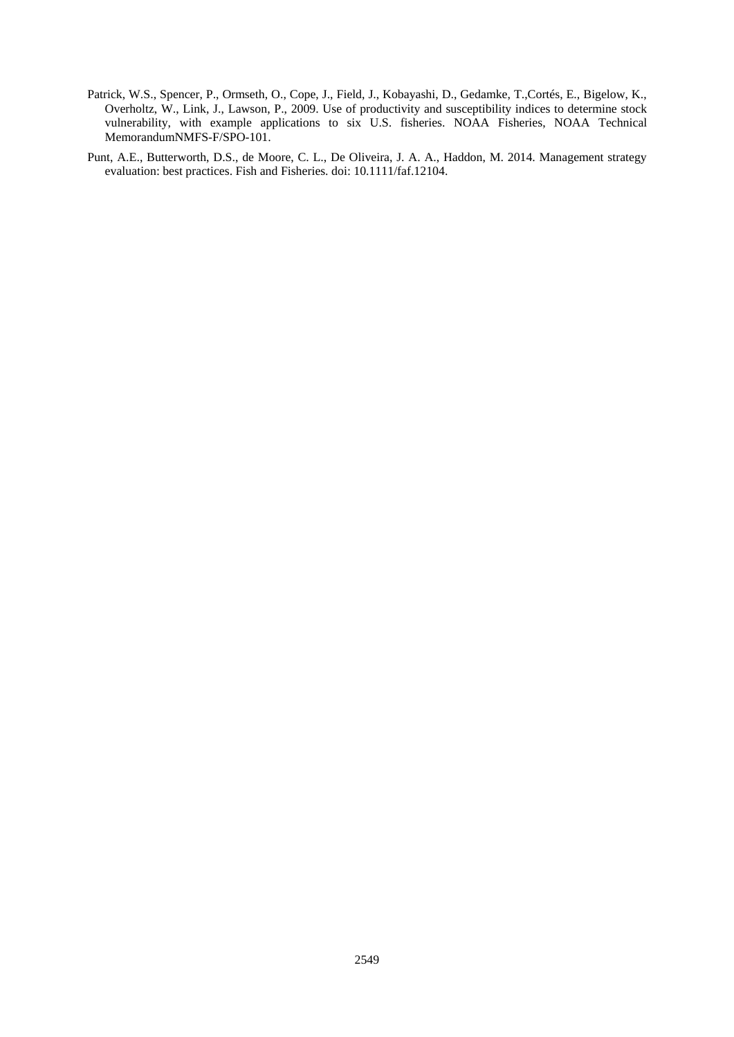- Patrick, W.S., Spencer, P., Ormseth, O., Cope, J., Field, J., Kobayashi, D., Gedamke, T.,Cortés, E., Bigelow, K., Overholtz, W., Link, J., Lawson, P., 2009. Use of productivity and susceptibility indices to determine stock vulnerability, with example applications to six U.S. fisheries. NOAA Fisheries, NOAA Technical MemorandumNMFS-F/SPO-101.
- Punt, A.E., Butterworth, D.S., de Moore, C. L., De Oliveira, J. A. A., Haddon, M. 2014. Management strategy evaluation: best practices. Fish and Fisheries. doi: 10.1111/faf.12104.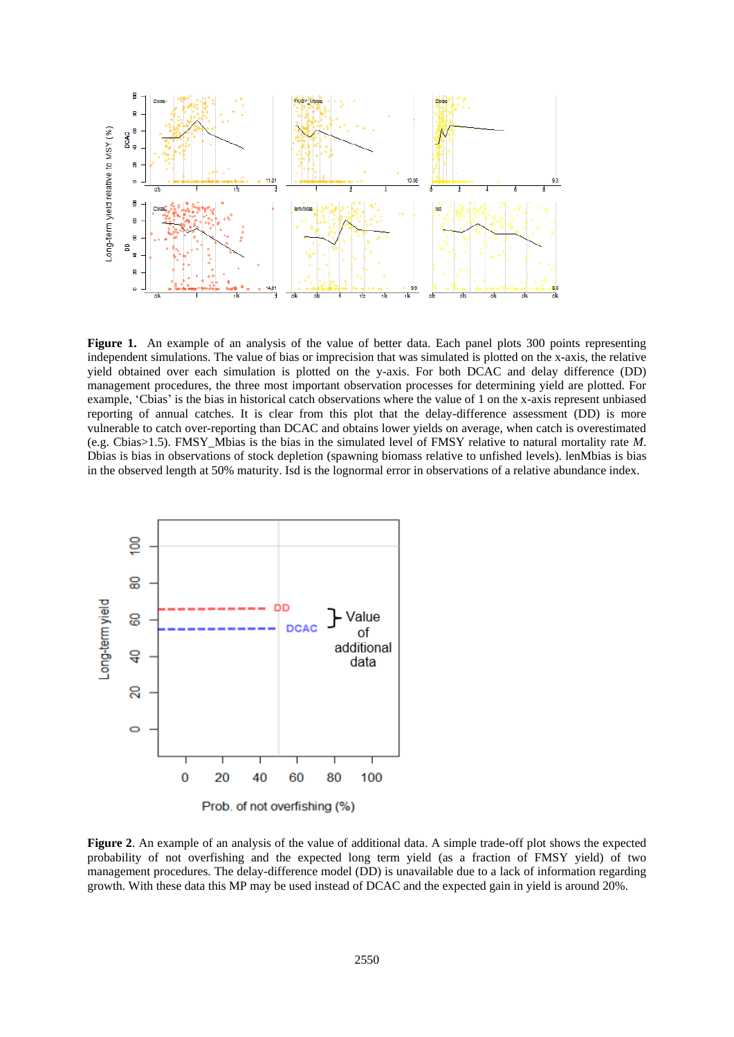

Figure 1. An example of an analysis of the value of better data. Each panel plots 300 points representing independent simulations. The value of bias or imprecision that was simulated is plotted on the x-axis, the relative yield obtained over each simulation is plotted on the y-axis. For both DCAC and delay difference (DD) management procedures, the three most important observation processes for determining yield are plotted. For example, 'Cbias' is the bias in historical catch observations where the value of 1 on the x-axis represent unbiased reporting of annual catches. It is clear from this plot that the delay-difference assessment (DD) is more vulnerable to catch over-reporting than DCAC and obtains lower yields on average, when catch is overestimated (e.g. Cbias>1.5). FMSY\_Mbias is the bias in the simulated level of FMSY relative to natural mortality rate *M*. Dbias is bias in observations of stock depletion (spawning biomass relative to unfished levels). lenMbias is bias in the observed length at 50% maturity. Isd is the lognormal error in observations of a relative abundance index.



**Figure 2**. An example of an analysis of the value of additional data. A simple trade-off plot shows the expected probability of not overfishing and the expected long term yield (as a fraction of FMSY yield) of two management procedures. The delay-difference model (DD) is unavailable due to a lack of information regarding growth. With these data this MP may be used instead of DCAC and the expected gain in yield is around 20%.